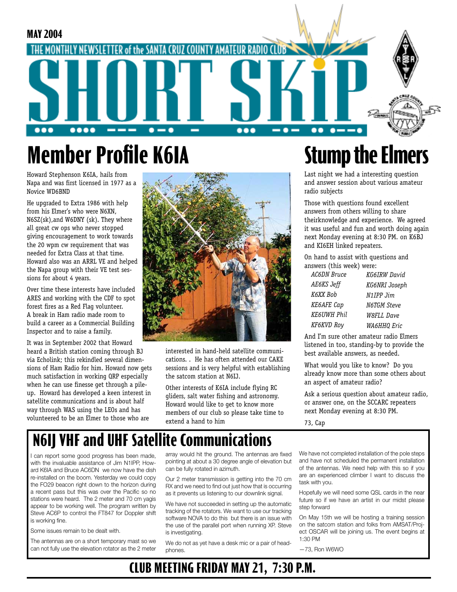

# **Member Profile K6IA**

Howard Stephenson K6IA, hails from Napa and was first licensed in 1977 as a Novice WD6BND

He upgraded to Extra 1986 with help from his Elmer's who were N6XN, N6SZ(sk),and W6DNY (sk). They where all great cw ops who never stopped giving encouragement to work towards the 20 wpm cw requirement that was needed for Extra Class at that time. Howard also was an ARRL VE and helped the Napa group with their VE test sessions for about 4 years.

Over time these interests have included ARES and working with the CDF to spot forest fires as a Red Flag volunteer. A break in Ham radio made room to build a career as a Commercial Building Inspector and to raise a family.

It was in September 2002 that Howard heard a British station coming through BJ via Echolink; this rekindled several dimensions of Ham Radio for him. Howard now gets much satisfaction in working QRP especially when he can use finesse get through a pileup. Howard has developed a keen interest in satellite communications and is about half way through WAS using the LEOs and has volunteered to be an Elmer to those who are



interested in hand-held satellite communications. . He has often attended our CAKE sessions and is very helpful with establishing the satcom station at N6IJ.

Other interests of K6IA include flying RC gliders, salt water fishing and astronomy. Howard would like to get to know more members of our club so please take time to extend a hand to him

# **Stump the Elmers**

Last night we had a interesting question and answer session about various amateur radio subjects

Those with questions found excellent answers from others willing to share theirknowledge and experience. We agreed it was useful and fun and worth doing again next Monday evening at 8:30 PM. on K6BJ and KI6EH linked repeaters.

On hand to assist with questions and answers (this week) were:

| <b>AC6DN</b> Bruce | KG6IRW David       |
|--------------------|--------------------|
| <b>AE6KS</b> Jeff  | KG6NRI Joseph      |
| K6XX Bob           | N1IPP Jim          |
| KE6AFE Cap         | <b>N6TGM Steve</b> |
| <b>KE6UWH Phil</b> | <b>W8FLL Dave</b>  |
| <b>KF6KVD Roy</b>  | WA6HHQ Eric        |

And I'm sure other amateur radio Elmers listened in too, standing-by to provide the best available answers, as needed.

What would you like to know? Do you already know more than some others about an aspect of amateur radio?

Ask a serious question about amateur radio, or answer one, on the SCCARC repeaters next Monday evening at 8:30 PM.

73, Cap

## **N6II VHF and UHF Satellite Communications**

I can report some good progress has been made, with the invaluable assistance of Jim N1IPP, Howard K6IA and Bruce AC6DN we now have the dish re-installed on the boom. Yesterday we could copy the FO29 beacon right down to the horizon during a recent pass but this was over the Pacific so no stations were heard. The 2 meter and 70 cm yagis appear to be working well. The program written by Steve AC6P to control the FT847 for Doppler shift is working fine.

Some issues remain to be dealt with.

The antennas are on a short temporary mast so we can not fully use the elevation rotator as the 2 meter

array would hit the ground. The antennas are fixed pointing at about a 30 degree angle of elevation but can be fully rotated in azimuth.

Our 2 meter transmission is getting into the 70 cm RX and we need to find out just how that is occurring as it prevents us listening to our downlink signal.

We have not succeeded in setting up the automatic tracking of the rotators. We want to use our tracking software NOVA to do this but there is an issue with the use of the parallel port when running XP. Steve is investigating.

We do not as yet have a desk mic or a pair of headphones.

**CLUB MEETING FRIDAY MAY 21, 7:30 P.M.**

We have not completed installation of the pole steps and have not scheduled the permanent installation of the antennas. We need help with this so if you are an experienced climber I want to discuss the task with you.

Hopefully we will need some QSL cards in the near future so if we have an artist in our midst please step forward

On May 15th we will be hosting a training session on the satcom station and folks from AMSAT/Project OSCAR will be joining us. The event begins at 1:30 PM

—73, Ron W6WO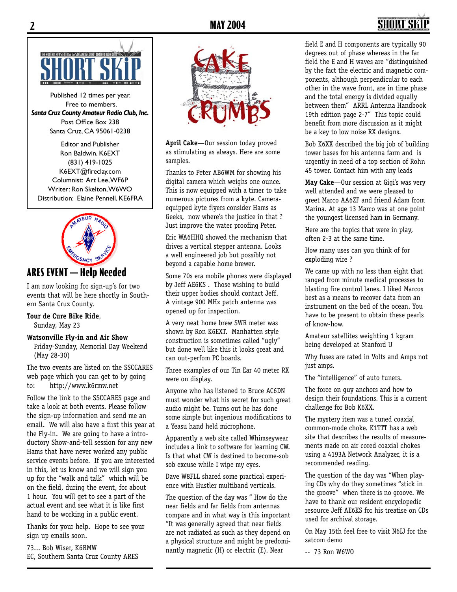## **2 MAY 2004 3**



Published 12 times per year. Free to members. *Santa Cruz County Amateur Radio Club, Inc.* Post Office Box 238 Santa Cruz, CA 95061-0238

Editor and Publisher Ron Baldwin, K6EXT (831) 419-1025 K6EXT@fireclay.com Columnist: Art Lee, WF6P Writer: Ron Skelton, W6WO Distribution: Elaine Pennell, KE6FRA



### **ARES EVENT — Help Needed**

I am now looking for sign-up's for two events that will be here shortly in Southern Santa Cruz County.

#### **Tour de Cure Bike Ride**,

Sunday, May 23

#### **Watsonville Fly-in and Air Show**

 Friday-Sunday, Memorial Day Weekend (May 28-30)

The two events are listed on the SSCCARES web page which you can get to by going to: http://www.k6rmw.net

Follow the link to the SSCCARES page and take a look at both events. Please follow the sign-up information and send me an email. We will also have a first this year at the Fly-in. We are going to have a introductory Show-and-tell session for any new Hams that have never worked any public service events before. If you are interested in this, let us know and we will sign you up for the "walk and talk" which will be on the field, during the event, for about 1 hour. You will get to see a part of the actual event and see what it is like first hand to be working in a public event.

Thanks for your help. Hope to see your sign up emails soon.

73... Bob Wiser, K6RMW EC, Southern Santa Cruz County ARES



**April Cake**—Our session today proved as stimulating as always. Here are some samples.

Thanks to Peter AB6WM for showing his digital camera which weighs one ounce. This is now equipped with a timer to take numerous pictures from a kyte. Cameraequipped kyte flyers consider Hams as Geeks, now where's the justice in that ? Just improve the water proofing Peter.

Eric WA6HHQ showed the mechanism that drives a vertical stepper antenna. Looks a well engineered job but possibly not beyond a capable home brewer.

Some 70s era mobile phones were displayed by Jeff AE6KS . Those wishing to build their upper bodies should contact Jeff. A vintage 900 MHz patch antenna was opened up for inspection.

A very neat home brew SWR meter was shown by Ron K6EXT. Manhatten style construction is sometimes called "ugly" but done well like this it looks great and can out-perfom PC boards.

Three examples of our Tin Ear 40 meter RX were on display.

Anyone who has listened to Bruce AC6DN must wonder what his secret for such great audio might be. Turns out he has done some simple but ingenious modifications to a Yeasu hand held microphone.

Apparently a web site called Whimseywear includes a link to software for learning CW. Is that what CW is destined to become-sob sob excuse while I wipe my eyes.

Dave W8FLL shared some practical experience with Hustler multiband verticals.

The question of the day was " How do the near fields and far fields from antennas compare and in what way is this important "It was generally agreed that near fields are not radiated as such as they depend on a physical structure and might be predominantly magnetic (H) or electric (E). Near

field E and H components are typically 90 degrees out of phase whereas in the far field the E and H waves are "distinguished by the fact the electric and magnetic components, although perpendicular to each other in the wave front, are in time phase and the total energy is divided equally between them" ARRL Antenna Handbook 19th edition page 2-7" This topic could benefit from more discussion as it might be a key to low noise RX designs.

Bob K6XX described the big job of building tower bases for his antenna farm and is urgently in need of a top section of Rohn 45 tower. Contact him with any leads

**May Cake**—Our session at Gigi's was very well attended and we were pleased to greet Marco AA6ZF and friend Adam from Marina. At age 13 Marco was at one point the youngest licensed ham in Germany.

Here are the topics that were in play, often 2-3 at the same time.

How many uses can you think of for exploding wire ?

We came up with no less than eight that ranged from minute medical processes to blasting fire control lanes. I liked Marcos best as a means to recover data from an instrument on the bed of the ocean. You have to be present to obtain these pearls of know-how.

Amateur satellites weighting 1 kgram being developed at Stanford U

Why fuses are rated in Volts and Amps not just amps.

The "intelligence" of auto tuners.

The force on guy anchors and how to design their foundations. This is a current challenge for Bob K6XX.

The mystery item was a tuned coaxial common-mode choke. K1TTT has a web site that describes the results of measurements made on air cored coaxial chokes using a 4193A Network Analyzer, it is a recommended reading.

The question of the day was "When playing CDs why do they sometimes "stick in the groove" when there is no groove. We have to thank our resident encyclopedic resource Jeff AE6KS for his treatise on CDs used for archival storage.

On May 15th feel free to visit N6IJ for the satcom demo

-- 73 Ron W6WO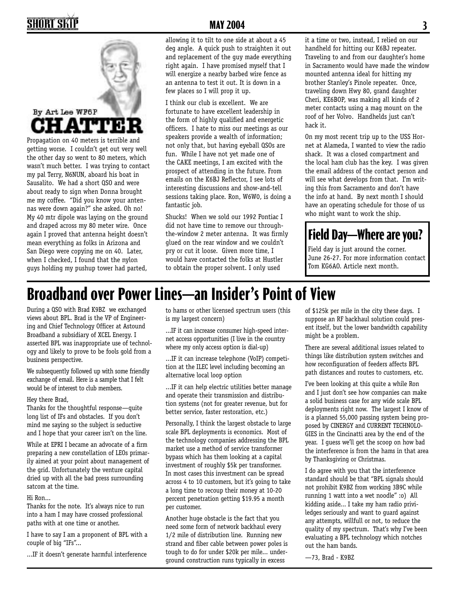## **2 MAY 2004 3**



getting worse. I couldn't get out very well the other day so went to 80 meters, which wasn't much better. I was trying to contact my pal Terry, N6NUN, aboard his boat in Sausalito. We had a short QSO and were about ready to sign when Donna brought me my coffee. "Did you know your antennas were down again?" she asked. Oh no! My 40 mtr dipole was laying on the ground and draped across my 80 meter wire. Once again I proved that antenna height doesn't mean everything as folks in Arizona and San Diego were copying me on 40. Later, when I checked, I found that the nylon guys holding my pushup tower had parted,

allowing it to tilt to one side at about a 45 deg angle. A quick push to straighten it out and replacement of the guy made everything right again. I have promised myself that I will energize a nearby barbed wire fence as an antenna to test it out. It is down in a few places so I will prop it up.

I think our club is excellent. We are fortunate to have excellent leadership in the form of highly qualified and energetic officers. I hate to miss our meetings as our speakers provide a wealth of information; not only that, but having eyeball QSOs are fun. While I have not yet made one of the CAKE meetings, I am excited with the prospect of attending in the future. From emails on the K6BJ Reflector, I see lots of interesting discussions and show-and-tell sessions taking place. Ron, W6W0, is doing a fantastic job.

Shucks! When we sold our 1992 Pontiac I did not have time to remove our throughthe-window 2 meter antenna. It was firmly glued on the rear window and we couldn't pry or cut it loose. Given more time, I would have contacted the folks at Hustler to obtain the proper solvent. I only used

it a time or two, instead, I relied on our handheld for hitting our K6BJ repeater. Traveling to and from our daughter's home in Sacramento would have made the window mounted antenna ideal for hitting my brother Stanley's Pinole repeater. Once, traveling down Hwy 80, grand daughter Cheri, KE6BOP, was making all kinds of 2 meter contacts using a mag mount on the roof of her Volvo. Handhelds just can't hack it.

On my most recent trip up to the USS Hornet at Alameda, I wanted to view the radio shack. It was a closed compartment and the local ham club has the key. I was given the email address of the contact person and will see what develops from that. I'm writing this from Sacramento and don't have the info at hand. By next month I should have an operating schedule for those of us who might want to work the ship.

## **Field Day—Where are you?**

Field day is just around the corner. June 26-27. For more information contact Tom KG6AO. Article next month.

## **Broadband over Power Lines—an Insider's Point of View**

During a QSO with Brad K9BZ we exchanged views about BPL. Brad is the VP of Engineering and Chief Technology Officer at Astound Broadband a subsidiary of XCEL Energy. I asserted BPL was inappropriate use of technology and likely to prove to be fools gold from a business perspective.

We subsequently followed up with some friendly exchange of email. Here is a sample that I felt would be of interest to club members.

#### Hey there Brad,

Thanks for the thoughtful response—quite long list of IFs and obstacles. If you don't mind me saying so the subject is seductive and I hope that your career isn't on the line.

While at EPRI I became an advocate of a firm preparing a new constellation of LEOs primarily aimed at your point about management of the grid. Unfortunately the venture capital dried up with all the bad press surrounding satcom at the time.

#### Hi Ron...

Thanks for the note. It's always nice to run into a ham I may have crossed professional paths with at one time or another.

I have to say I am a proponent of BPL with a couple of big "IFs"...

...IF it doesn't generate harmful interference

to hams or other licensed spectrum users (this is my largest concern)

...IF it can increase consumer high-speed internet access opportunities (I live in the country where my only access option is dial-up)

...IF it can increase telephone (VoIP) competition at the ILEC level including becoming an alternative local loop option

...IF it can help electric utilities better manage and operate their transmission and distribution systems (not for greater revenue, but for better service, faster restoration, etc.)

Personally, I think the largest obstacle to large scale BPL deployments is economics. Most of the technology companies addressing the BPL market use a method of service transformer bypass which has them looking at a capital investment of roughly \$5k per transformer. In most cases this investment can be spread across 4 to 10 customers, but it's going to take a long time to recoup their money at 10-20 percent penetration getting \$19.95 a month per customer.

Another huge obstacle is the fact that you need some form of network backhaul every 1/2 mile of distribution line. Running new strand and fiber cable between power poles is tough to do for under \$20k per mile... underground construction runs typically in excess

of \$125k per mile in the city these days. I suppose an RF backhaul solution could present itself, but the lower bandwidth capability might be a problem.

There are several additional issues related to things like distribution system switches and how reconfiguration of feeders affects BPL path distances and routes to customers, etc.

I've been looking at this quite a while Ron and I just don't see how companies can make a solid business case for any wide scale BPL deployments right now. The largest I know of is a planned 55,000 passing system being proposed by CINERGY and CURRENT TECHNOLO-GIES in the Cincinatti area by the end of the year. I guess we'll get the scoop on how bad the interference is from the hams in that area by Thanksgiving or Christmas.

I do agree with you that the interference standard should be that "BPL signals should not prohibit K9BZ from working 3B9C while running 1 watt into a wet noodle" :o) All kidding aside... I take my ham radio priviledges seriously and want to guard against any attempts, willfull or not, to reduce the quality of my spectrum. That's why I've been evaluating a BPL technology which notches out the ham bands.

—73, Brad - K9BZ